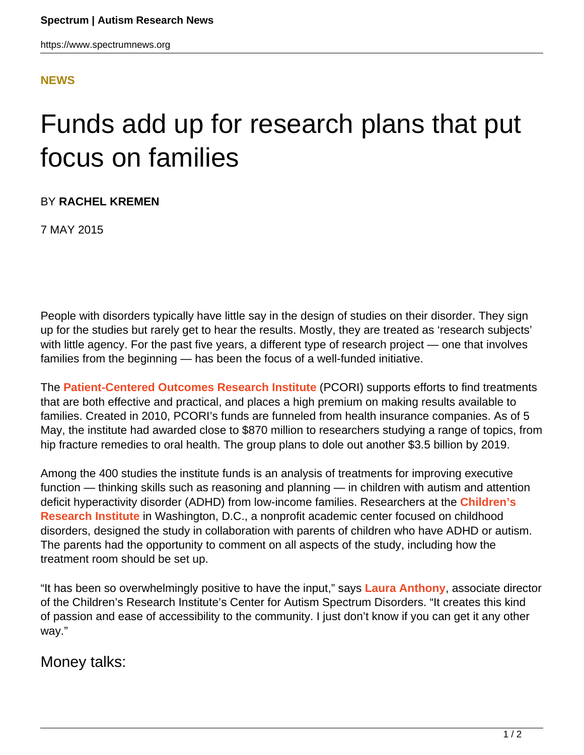## **[NEWS](HTTPS://WWW.SPECTRUMNEWS.ORG/NEWS/)**

## Funds add up for research plans that put focus on families

BY **RACHEL KREMEN**

7 MAY 2015

People with disorders typically have little say in the design of studies on their disorder. They sign up for the studies but rarely get to hear the results. Mostly, they are treated as 'research subjects' with little agency. For the past five years, a different type of research project — one that involves families from the beginning — has been the focus of a well-funded initiative.

The **[Patient-Centered Outcomes Research Institute](http://www.pcori.org)** (PCORI) supports efforts to find treatments that are both effective and practical, and places a high premium on making results available to families. Created in 2010, PCORI's funds are funneled from health insurance companies. As of 5 May, the institute had awarded close to \$870 million to researchers studying a range of topics, from hip fracture remedies to oral health. The group plans to dole out another \$3.5 billion by 2019.

Among the 400 studies the institute funds is an analysis of treatments for improving executive function — thinking skills such as reasoning and planning — in children with autism and attention deficit hyperactivity disorder (ADHD) from low-income families. Researchers at the **[Children's](http://childrensresearchinstitute.org) [Research Institute](http://childrensresearchinstitute.org)** in Washington, D.C., a nonprofit academic center focused on childhood disorders, designed the study in collaboration with parents of children who have ADHD or autism. The parents had the opportunity to comment on all aspects of the study, including how the treatment room should be set up.

"It has been so overwhelmingly positive to have the input," says **[Laura Anthony](http://childrensnational.org/choose-childrens/find-a-provider/laura-anthony)**, associate director of the Children's Research Institute's Center for Autism Spectrum Disorders. "It creates this kind of passion and ease of accessibility to the community. I just don't know if you can get it any other way."

## Money talks: